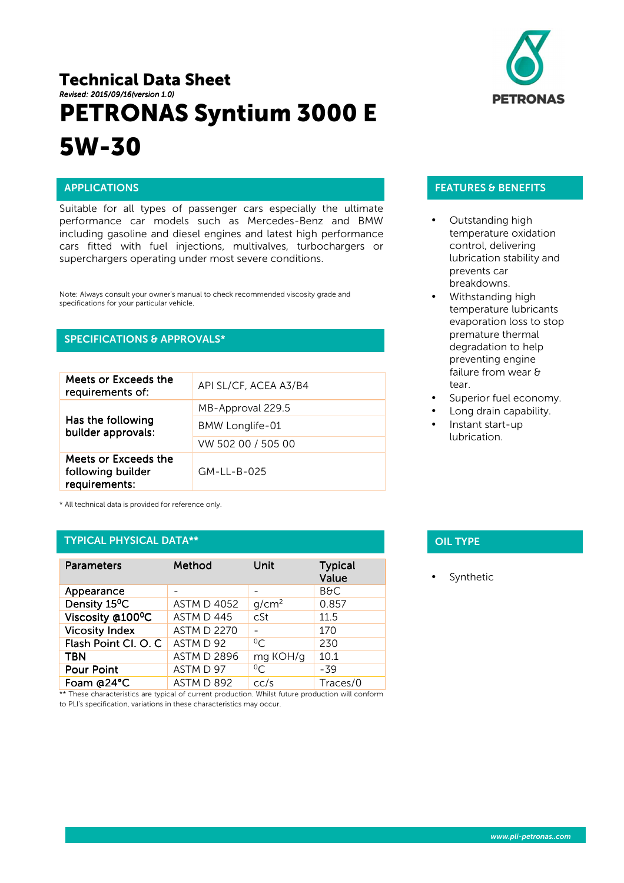# Technical Data Sheet *Revised: 2015 Revised: 2015/09/16(version 1.0) (version 1.0)* PETRONAS Syntium 3000 E 5W-30



# APPLICATIONS

j

Suitable for all types of passenger cars especially the ultimate performance car models such as Mercedes-Benz and BMW including gasoline and diesel engines and latest high performance cars fitted with fuel injections, multivalves, turbochargers or superchargers operating under most severe conditions.

Note: Always consult your owner's manual to check recommended viscosity grade and specifications for your particular vehicle.

# SPECIFICATIONS & APPROVALS\*

| Meets or Exceeds the<br>requirements of:                   | API SL/CF, ACEA A3/B4 |
|------------------------------------------------------------|-----------------------|
| Has the following<br>builder approvals:                    | MB-Approval 229.5     |
|                                                            | BMW Longlife-01       |
|                                                            | VW 502 00 / 505 00    |
| Meets or Exceeds the<br>following builder<br>requirements: | GM-LL-B-025           |

\* All technical data is provided for reference only.

### TYPICAL PHYSICAL DATA\*\*

| <b>Parameters</b>         | Method             | Unit              | <b>Typical</b><br>Value |
|---------------------------|--------------------|-------------------|-------------------------|
| Appearance                |                    |                   | <b>B&amp;C</b>          |
| Density 15 <sup>°</sup> C | <b>ASTM D 4052</b> | g/cm <sup>2</sup> | 0.857                   |
| Viscosity @100°C          | ASTM D 445         | cSt               | 11.5                    |
| <b>Vicosity Index</b>     | <b>ASTM D 2270</b> |                   | 170                     |
| Flash Point Cl. O. C      | ASTM D 92          | $^{0}C$           | 230                     |
| <b>TBN</b>                | <b>ASTM D 2896</b> | mg KOH/g          | 10.1                    |
| <b>Pour Point</b>         | ASTM D 97          | $^{0}C$           | $-39$                   |
| Foam @24°C                | ASTM D 892         | cc/s              | Traces/0                |

\*\* These characteristics are typical of current production. Whilst future production will conform to PLI's specification, variations in these characteristics may occur.

## FEATURES & BENEFITS

- Outstanding high temperature oxidation control, delivering lubrication stability and prevents car breakdowns.
- Withstanding high temperature lubricants evaporation loss to stop premature thermal degradation to help preventing engine failure from wear & tear.
- Superior fuel economy.
- Long drain capability.
- Instant start-up lubrication.

# **OIL TYPE**

**Synthetic**